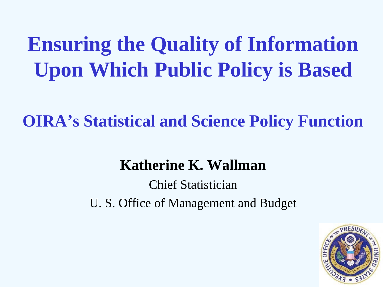# **Ensuring the Quality of Information Upon Which Public Policy is Based**

**OIRA's Statistical and Science Policy Function**

#### **Katherine K. Wallman**

Chief Statistician U. S. Office of Management and Budget

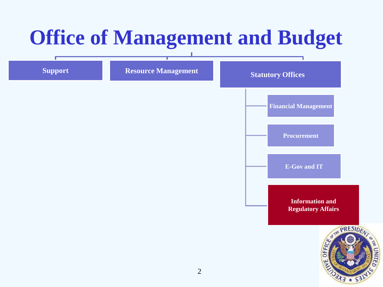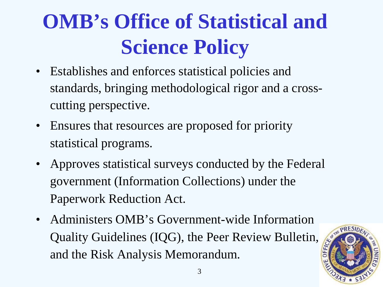# **OMB's Office of Statistical and Science Policy**

- Establishes and enforces statistical policies and standards, bringing methodological rigor and a crosscutting perspective.
- Ensures that resources are proposed for priority statistical programs.
- Approves statistical surveys conducted by the Federal government (Information Collections) under the Paperwork Reduction Act.
- Administers OMB's Government-wide Information Quality Guidelines (IQG), the Peer Review Bulletin, and the Risk Analysis Memorandum.

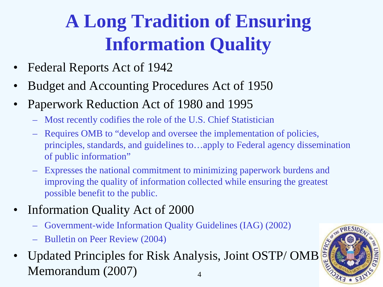## **A Long Tradition of Ensuring Information Quality**

- Federal Reports Act of 1942
- Budget and Accounting Procedures Act of 1950
- Paperwork Reduction Act of 1980 and 1995
	- Most recently codifies the role of the U.S. Chief Statistician
	- Requires OMB to "develop and oversee the implementation of policies, principles, standards, and guidelines to…apply to Federal agency dissemination of public information"
	- Expresses the national commitment to minimizing paperwork burdens and improving the quality of information collected while ensuring the greatest possible benefit to the public.
- Information Quality Act of 2000
	- Government-wide Information Quality Guidelines (IAG) (2002)
	- Bulletin on Peer Review (2004)
- 4 • Updated Principles for Risk Analysis, Joint OSTP/OMB Memorandum (2007)

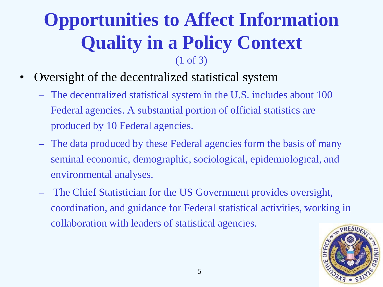#### **Opportunities to Affect Information Quality in a Policy Context** (1 of 3)

- Oversight of the decentralized statistical system
	- The decentralized statistical system in the U.S. includes about 100 Federal agencies. A substantial portion of official statistics are produced by 10 Federal agencies.
	- The data produced by these Federal agencies form the basis of many seminal economic, demographic, sociological, epidemiological, and environmental analyses.
	- The Chief Statistician for the US Government provides oversight, coordination, and guidance for Federal statistical activities, working in collaboration with leaders of statistical agencies.

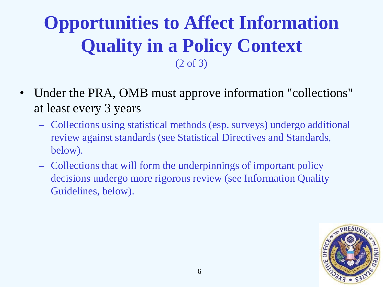### **Opportunities to Affect Information Quality in a Policy Context** (2 of 3)

- Under the PRA, OMB must approve information "collections" at least every 3 years
	- Collections using statistical methods (esp. surveys) undergo additional review against standards (see Statistical Directives and Standards, below).
	- Collections that will form the underpinnings of important policy decisions undergo more rigorous review (see Information Quality Guidelines, below).

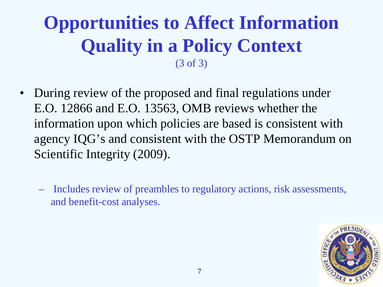### **Opportunities to Affect Information Quality in a Policy Context** (3 of 3)

- During review of the proposed and final regulations under E.O. 12866 and E.O. 13563, OMB reviews whether the information upon which policies are based is consistent with agency IQG's and consistent with the OSTP Memorandum on Scientific Integrity (2009).
	- Includes review of preambles to regulatory actions, risk assessments, and benefit-cost analyses.

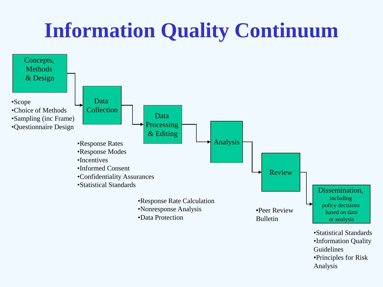# **Information Quality Continuum**

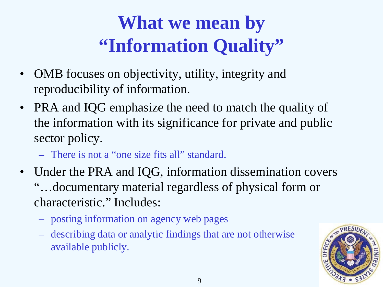## **What we mean by "Information Quality"**

- OMB focuses on objectivity, utility, integrity and reproducibility of information.
- PRA and IQG emphasize the need to match the quality of the information with its significance for private and public sector policy.
	- There is not a "one size fits all" standard.
- Under the PRA and IQG, information dissemination covers "…documentary material regardless of physical form or characteristic." Includes:
	- posting information on agency web pages
	- describing data or analytic findings that are not otherwise available publicly.

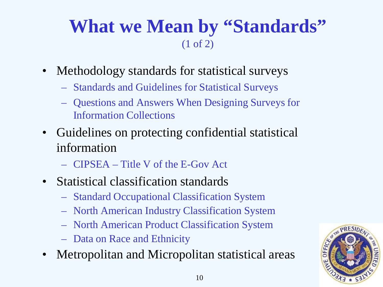#### **What we Mean by "Standards"** (1 of 2)

- Methodology standards for statistical surveys
	- Standards and Guidelines for Statistical Surveys
	- Questions and Answers When Designing Surveys for Information Collections
- Guidelines on protecting confidential statistical information
	- CIPSEA Title V of the E-Gov Act
- Statistical classification standards
	- Standard Occupational Classification System
	- North American Industry Classification System
	- North American Product Classification System
	- Data on Race and Ethnicity
- Metropolitan and Micropolitan statistical areas

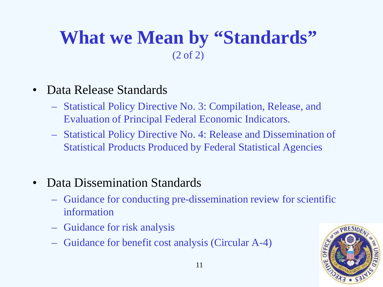#### **What we Mean by "Standards"**  (2 of 2)

- Data Release Standards
	- Statistical Policy Directive No. 3: Compilation, Release, and Evaluation of Principal Federal Economic Indicators.
	- Statistical Policy Directive No. 4: Release and Dissemination of Statistical Products Produced by Federal Statistical Agencies
- Data Dissemination Standards
	- Guidance for conducting pre-dissemination review for scientific information
	- Guidance for risk analysis
	- Guidance for benefit cost analysis (Circular A-4)

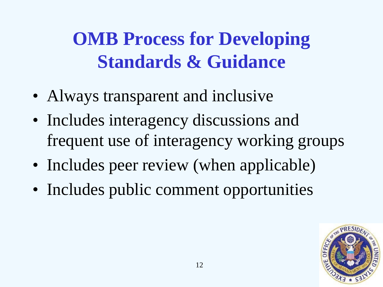**OMB Process for Developing Standards & Guidance**

- Always transparent and inclusive
- Includes interagency discussions and frequent use of interagency working groups
- Includes peer review (when applicable)
- Includes public comment opportunities

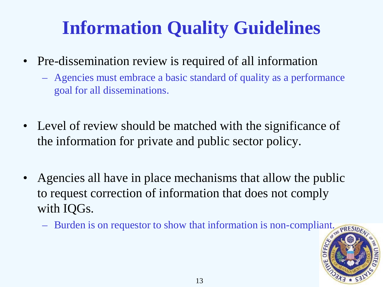## **Information Quality Guidelines**

- Pre-dissemination review is required of all information
	- Agencies must embrace a basic standard of quality as a performance goal for all disseminations.
- Level of review should be matched with the significance of the information for private and public sector policy.
- Agencies all have in place mechanisms that allow the public to request correction of information that does not comply with IQGs.
	- Burden is on requestor to show that information is non-compliant.  $RRESDE$

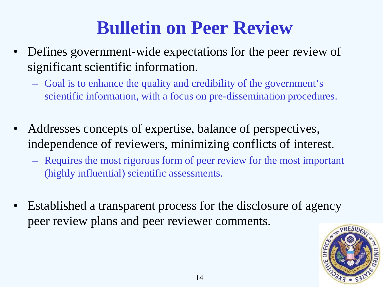### **Bulletin on Peer Review**

- Defines government-wide expectations for the peer review of significant scientific information.
	- Goal is to enhance the quality and credibility of the government's scientific information, with a focus on pre-dissemination procedures.
- Addresses concepts of expertise, balance of perspectives, independence of reviewers, minimizing conflicts of interest.
	- Requires the most rigorous form of peer review for the most important (highly influential) scientific assessments.
- Established a transparent process for the disclosure of agency peer review plans and peer reviewer comments.

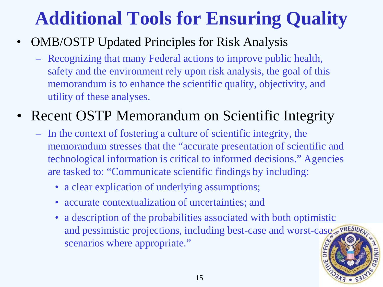## **Additional Tools for Ensuring Quality**

- OMB/OSTP Updated Principles for Risk Analysis
	- Recognizing that many Federal actions to improve public health, safety and the environment rely upon risk analysis, the goal of this memorandum is to enhance the scientific quality, objectivity, and utility of these analyses.

#### Recent OSTP Memorandum on Scientific Integrity

- In the context of fostering a culture of scientific integrity, the memorandum stresses that the "accurate presentation of scientific and technological information is critical to informed decisions." Agencies are tasked to: "Communicate scientific findings by including:
	- a clear explication of underlying assumptions;
	- accurate contextualization of uncertainties; and
	- a description of the probabilities associated with both optimistic and pessimistic projections, including best-case and worst-case scenarios where appropriate."